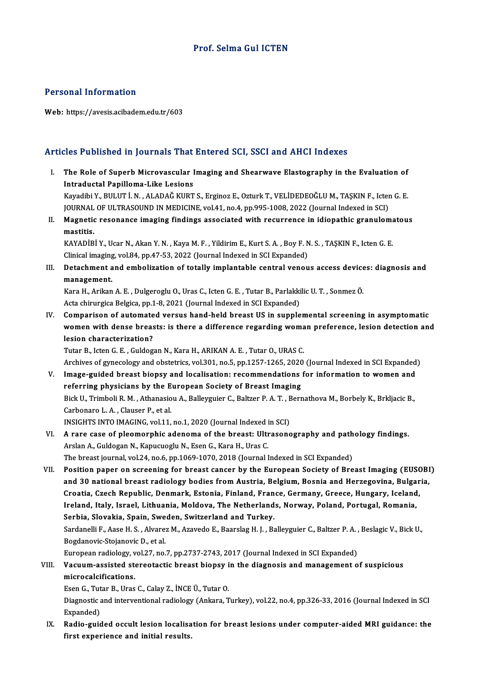#### Personal Information

Web: https://avesis.acibadem.edu.tr/603

#### Articles Published in Journals That Entered SCI, SSCI and AHCI Indexes

rticles Published in Journals That Entered SCI, SSCI and AHCI Indexes<br>I. The Role of Superb Microvascular Imaging and Shearwave Elastography in the Evaluation of<br>Intraductal Banilloma Like Lesians Intraductal Papilloma-Like Lesions<br>Intraductal Papilloma-Like Lesions<br>Vavadibi V. PULUT İ.N. ALADAĞ KUPT The Role of Superb Microvascular Imaging and Shearwave Elastography in the Evaluation of<br>Intraductal Papilloma-Like Lesions<br>Kayadibi Y., BULUT İ.N., ALADAĞ KURT S., Erginoz E., Ozturk T., VELİDEDEOĞLU M., TAŞKIN F., Icten I<mark>ntraductal Papilloma-Like Lesions</mark><br>Kayadibi Y., BULUT İ. N. , ALADAĞ KURT S., Erginoz E., Ozturk T., VELİDEDEOĞLU M., TAŞKIN F., Icter<br>JOURNAL OF ULTRASOUND IN MEDICINE, vol.41, no.4, pp.995-1008, 2022 (Journal Indexed i Kayadibi Y., BULUT İ. N. , ALADAĞ KURT S., Erginoz E., Ozturk T., VELİDEDEOĞLU M., TAŞKIN F., Icten G. E.<br>JOURNAL OF ULTRASOUND IN MEDICINE, vol.41, no.4, pp.995-1008, 2022 (Journal Indexed in SCI)<br>II. Magnetic resonance i JOURNAL<br><mark>Magnetio</mark><br>mastitis.<br>KAVAD<sup>ip</sup> Magnetic resonance imaging findings associated with recurrence in idiopathic granulom:<br>mastitis.<br>KAYADİBİ Y., Ucar N., Akan Y. N. , Kaya M. F. , Yildirim E., Kurt S. A. , Boy F. N. S. , TAŞKIN F., Icten G. E<br>Clinical imagi

mastitis.<br>KAYADİBİ Y., Ucar N., Akan Y. N. , Kaya M. F. , Yildirim E., Kurt S. A. , Boy F. N. S. , TAŞKIN F., Icten G. E<br>Clinical imaging, vol.84, pp.47-53, 2022 (Journal Indexed in SCI Expanded)

III. Detachment and embolization of totally implantable central venous access devices: diagnosis and management. Detachment and embolization of totally implantable central venous access device<br>management.<br>Kara H., Arikan A.E., Dulgeroglu O., Uras C., Icten G.E., Tutar B., Parlakkilic U. T., Sonmez Ö.<br>Aste ebinyazias Belgias nn 1 9, 2

management.<br>Kara H., Arikan A. E. , Dulgeroglu O., Uras C., Icten G. E. , Tutar B., Parlakki<br>Acta chirurgica Belgica, pp.1-8, 2021 (Journal Indexed in SCI Expanded)<br>Companison of outomated versue bond beld breest US in eun Kara H., Arikan A. E. , Dulgeroglu O., Uras C., Icten G. E. , Tutar B., Parlakkilic U. T. , Sonmez Ö.<br>Acta chirurgica Belgica, pp.1-8, 2021 (Journal Indexed in SCI Expanded)<br>IV. Comparison of automated versus hand-held bre

Acta chirurgica Belgica, pp.1-8, 2021 (Journal Indexed in SCI Expanded)<br>Comparison of automated versus hand-held breast US in supplemental screening in asymptomatic<br>women with dense breasts: is there a difference regarding Comparison of automate<br>women with dense breas<br>lesion characterization?<br>Tutar B. Istan G. E. Culdes women with dense breasts: is there a difference regarding woman preference, lesion detection and<br>lesion characterization?<br>Tutar B., Icten G. E. , Guldogan N., Kara H., ARIKAN A. E. , Tutar O., URAS C.

Archives of gynecology and obstetrics, vol.301, no.5, pp.1257-1265, 2020 (Journal Indexed in SCI Expanded)

- Tutar B., Icten G. E., Guldogan N., Kara H., ARIKAN A. E., Tutar O., URAS C.<br>Archives of gynecology and obstetrics, vol.301, no.5, pp.1257-1265, 2020 (Journal Indexed in SCI Expanded<br>V. Image-guided breast biopsy and local Archives of gynecology and obstetrics, vol.301, no.5, pp.1257-1265, 2020<br>Image-guided breast biopsy and localisation: recommendations<br>referring physicians by the European Society of Breast Imaging<br>Pick U. Trimboli P. M., A Image-guided breast biopsy and localisation: recommendations for information to women and<br>referring physicians by the European Society of Breast Imaging<br>Bick U., Trimboli R. M. , Athanasiou A., Balleyguier C., Baltzer P. A referring physicians by the E<br>Bick U., Trimboli R. M. , Athanasio<br>Carbonaro L. A. , Clauser P., et al.<br>INSICUTS INTO IMACING vol 11 Bick U., Trimboli R. M. , Athanasiou A., Balleyguier C., Baltzer P. A. T. , E<br>Carbonaro L. A. , Clauser P., et al.<br>INSIGHTS INTO IMAGING, vol.11, no.1, 2020 (Journal Indexed in SCI)<br>A rare case of pleamernhic adapama of th Carbonaro L. A., Clauser P., et al.<br>INSIGHTS INTO IMAGING, vol.11, no.1, 2020 (Journal Indexed in SCI)<br>VI. A rare case of pleomorphic adenoma of the breast: Ultrasonography and pathology findings.
- INSIGHTS INTO IMAGING, vol.11, no.1, 2020 (Journal Indexed i<br>A rare case of pleomorphic adenoma of the breast: Ulti<br>Arslan A., Guldogan N., Kapucuoglu N., Esen G., Kara H., Uras C.<br>The breast journal vol.24, no.6, np.1069, A rare case of pleomorphic adenoma of the breast: Ultrasonography and path<br>Arslan A., Guldogan N., Kapucuoglu N., Esen G., Kara H., Uras C.<br>The breast journal, vol.24, no.6, pp.1069-1070, 2018 (Journal Indexed in SCI Expan

Arslan A., Guldogan N., Kapucuoglu N., Esen G., Kara H., Uras C.<br>The breast journal, vol.24, no.6, pp.1069-1070, 2018 (Journal Indexed in SCI Expanded)<br>VII. Position paper on screening for breast cancer by the European Soc The breast journal, vol.24, no.6, pp.1069-1070, 2018 (Journal Indexed in SCI Expanded)<br>Position paper on screening for breast cancer by the European Society of Breast Imaging (EUSOBI<br>and 30 national breast radiology bodies Position paper on screening for breast cancer by the European Society of Breast Imaging (EUSC)<br>and 30 national breast radiology bodies from Austria, Belgium, Bosnia and Herzegovina, Bulgar<br>Croatia, Czech Republic, Denmark, and 30 national breast radiology bodies from Austria, Belgium, Bosnia and Herzegovina, Bulgaria,<br>Croatia, Czech Republic, Denmark, Estonia, Finland, France, Germany, Greece, Hungary, Iceland,<br>Ireland, Italy, Israel, Lithua Croatia, Czech Republic, Denmark, Estonia, Finland, France, Germany, Greece, Hungary, Iceland, Ireland, Italy, Israel, Lithuania, Moldova, The Netherlands, Norway, Poland, Portugal, Romania,<br>Serbia, Slovakia, Spain, Sweden, Switzerland and Turkey.<br>Sardanelli F., Aase H. S. , Alvarez M., Azavedo E., Baarslag H. J. , Serbia, Slovakia, Spain, Swe<br>Sardanelli F., Aase H. S. , Alvare:<br>Bogdanovic-Stojanovic D., et al.<br>European radiology vol 27, no. Sardanelli F., Aase H. S. , Alvarez M., Azavedo E., Baarslag H. J. , Balleyguier C., Baltzer P. A. ,<br>Bogdanovic-Stojanovic D., et al.<br>European radiology, vol.27, no.7, pp.2737-2743, 2017 (Journal Indexed in SCI Expanded)<br>V

European radiology, vol.27, no.7, pp.2737-2743, 2017 (Journal Indexed in SCI Expanded)

## Bogdanovic-Stojanovic D., et al.<br>European radiology, vol.27, no.7, pp.2737-2743, 2017 (Journal Indexed in SCI Expanded)<br>VIII. Vacuum-assisted stereotactic breast biopsy in the diagnosis and management of suspicious<br>microca

EsenG.,TutarB.,UrasC.,CalayZ., İNCEÜ.,TutarO.

microcalcifications.<br>Esen G., Tutar B., Uras C., Calay Z., İNCE Ü., Tutar O.<br>Diagnostic and interventional radiology (Ankara, Turkey), vol.22, no.4, pp.326-33, 2016 (Journal Indexed in SCI Esen G., Tut<br>Diagnostic<br>Expanded)<br>Padia suis Diagnostic and interventional radiology (Ankara, Turkey), vol.22, no.4, pp.326-33, 2016 (Journal Indexed in SCI<br>Expanded)<br>IX. Radio-guided occult lesion localisation for breast lesions under computer-aided MRI guidance: th

Expanded)<br>IX. Radio-guided occult lesion localisation for breast lesions under computer-aided MRI guidance: the<br>first experience and initial results.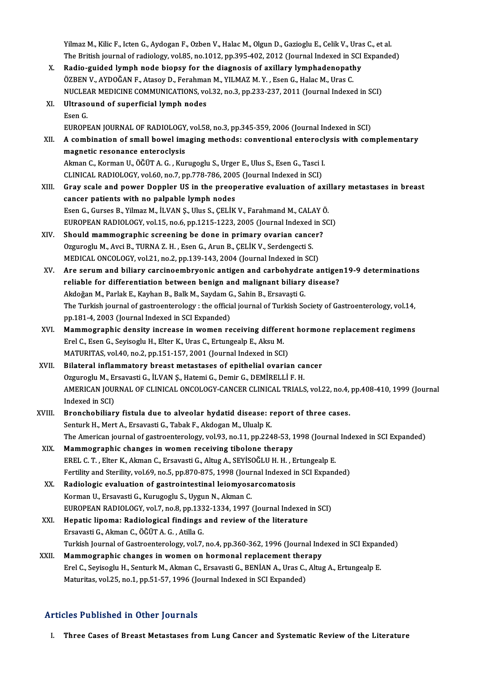Yilmaz M., Kilic F., Icten G., Aydogan F., Ozben V., Halac M., Olgun D., Gazioglu E., Celik V., Uras C., et al.<br>The Pritish iournal of radiology vol 85, no 1912, np 395, 492, 2912 (Journal Indoved in SCI Evnando Yilmaz M., Kilic F., Icten G., Aydogan F., Ozben V., Halac M., Olgun D., Gazioglu E., Celik V., Uras C., et al<br>The British journal of radiology, vol.85, no.1012, pp.395-402, 2012 (Journal Indexed in SCI Expanded)<br>Radio, gu Yilmaz M., Kilic F., Icten G., Aydogan F., Ozben V., Halac M., Olgun D., Gazioglu E., Celik V., Uras<br>The British journal of radiology, vol.85, no.1012, pp.395-402, 2012 (Journal Indexed in SCI<br>X. Radio-guided lymph node bi

The British journal of radiology, vol.85, no.1012, pp.395-402, 2012 (Journal Indexed in S<br>Radio-guided lymph node biopsy for the diagnosis of axillary lymphadenopath<br>ÖZBEN V., AYDOĞAN F., Atasoy D., Ferahman M., YILMAZ M. Radio-guided lymph node biopsy for the diagnosis of axillary lymphadenopathy<br>ÖZBEN V., AYDOĞAN F., Atasoy D., Ferahman M., YILMAZ M. Y. , Esen G., Halac M., Uras C.<br>NUCLEAR MEDICINE COMMUNICATIONS, vol.32, no.3, pp.233-237 ÖZBEN V., AYDOĞAN F., Atasoy D., Ferahman<br>NUCLEAR MEDICINE COMMUNICATIONS, vo<br>XI. Ultrasound of superficial lymph nodes NUCLEAR MEDICINE COMMUNICATIONS, vol.32, no.3, pp.233-237, 2011 (Journal Indexed in SCI)

| XI.    | Ultrasound of superficial lymph nodes                                                                          |
|--------|----------------------------------------------------------------------------------------------------------------|
|        | Esen G                                                                                                         |
|        | EUROPEAN JOURNAL OF RADIOLOGY, vol.58, no.3, pp.345-359, 2006 (Journal Indexed in SCI)                         |
| XII.   | A combination of small bowel imaging methods: conventional enteroclysis with complementary                     |
|        | magnetic resonance enteroclysis                                                                                |
|        | Akman C., Korman U., ÖĞÜT A. G., Kurugoglu S., Urger E., Ulus S., Esen G., Tasci I.                            |
|        | CLINICAL RADIOLOGY, vol.60, no.7, pp.778-786, 2005 (Journal Indexed in SCI)                                    |
| XIII.  | Gray scale and power Doppler US in the preoperative evaluation of axillary metastases in breast                |
|        | cancer patients with no palpable lymph nodes                                                                   |
|        | Esen G., Gurses B., Yilmaz M., İLVAN Ş., Ulus S., ÇELİK V., Farahmand M., CALAY Ö.                             |
|        | EUROPEAN RADIOLOGY, vol.15, no.6, pp.1215-1223, 2005 (Journal Indexed in SCI)                                  |
| XIV.   | Should mammographic screening be done in primary ovarian cancer?                                               |
|        | Ozguroglu M., Avci B., TURNA Z. H., Esen G., Arun B., ÇELİK V., Serdengecti S.                                 |
|        | MEDICAL ONCOLOGY, vol.21, no.2, pp.139-143, 2004 (Journal Indexed in SCI)                                      |
| XV.    | Are serum and biliary carcinoembryonic antigen and carbohydrate antigen19-9 determinations                     |
|        | reliable for differentiation between benign and malignant biliary disease?                                     |
|        | Akdoğan M., Parlak E., Kayhan B., Balk M., Saydam G., Sahin B., Ersavaşti G.                                   |
|        | The Turkish journal of gastroenterology : the official journal of Turkish Society of Gastroenterology, vol.14, |
|        | pp.181-4, 2003 (Journal Indexed in SCI Expanded)                                                               |
| XVI.   | Mammographic density increase in women receiving different hormone replacement regimens                        |
|        | Erel C., Esen G., Seyisoglu H., Elter K., Uras C., Ertungealp E., Aksu M.                                      |
|        | MATURITAS, vol.40, no.2, pp.151-157, 2001 (Journal Indexed in SCI)                                             |
| XVII.  | Bilateral inflammatory breast metastases of epithelial ovarian cancer                                          |
|        | Ozguroglu M., Ersavasti G., İLVAN Ş., Hatemi G., Demir G., DEMİRELLİ F. H.                                     |
|        | AMERICAN JOURNAL OF CLINICAL ONCOLOGY-CANCER CLINICAL TRIALS, vol.22, no.4, pp.408-410, 1999 (Journal          |
|        | Indexed in SCI)                                                                                                |
| XVIII. | Bronchobiliary fistula due to alveolar hydatid disease: report of three cases.                                 |
|        | Senturk H., Mert A., Ersavasti G., Tabak F., Akdogan M., Ulualp K.                                             |
|        | The American journal of gastroenterology, vol.93, no.11, pp.2248-53, 1998 (Journal Indexed in SCI Expanded)    |
| XIX.   | Mammographic changes in women receiving tibolone therapy                                                       |
|        | EREL C. T., Elter K., Akman C., Ersavasti G., Altug A., SEYİSOĞLU H. H., Ertungealp E.                         |
|        | Fertility and Sterility, vol.69, no.5, pp.870-875, 1998 (Journal Indexed in SCI Expanded)                      |
| XX.    | Radiologic evaluation of gastrointestinal leiomyosarcomatosis                                                  |
|        | Korman U., Ersavasti G., Kurugoglu S., Uygun N., Akman C.                                                      |
|        | EUROPEAN RADIOLOGY, vol.7, no.8, pp.1332-1334, 1997 (Journal Indexed in SCI)                                   |
| XXI.   | Hepatic lipoma: Radiological findings and review of the literature                                             |
|        | Ersavasti G., Akman C., ÖĞÜT A. G., Atilla G.                                                                  |
|        | Turkish Journal of Gastroenterology, vol.7, no.4, pp.360-362, 1996 (Journal Indexed in SCI Expanded)           |
| XXII.  | Mammographic changes in women on hormonal replacement therapy                                                  |
|        | Erel C., Seyisoglu H., Senturk M., Akman C., Ersavasti G., BENİAN A., Uras C., Altug A., Ertungealp E.         |
|        | Maturitas, vol.25, no.1, pp.51-57, 1996 (Journal Indexed in SCI Expanded)                                      |
|        |                                                                                                                |

### Articles Published in Other Journals

I. Three Cases of Breast Metastases from Lung Cancer and Systematic Review of the Literature